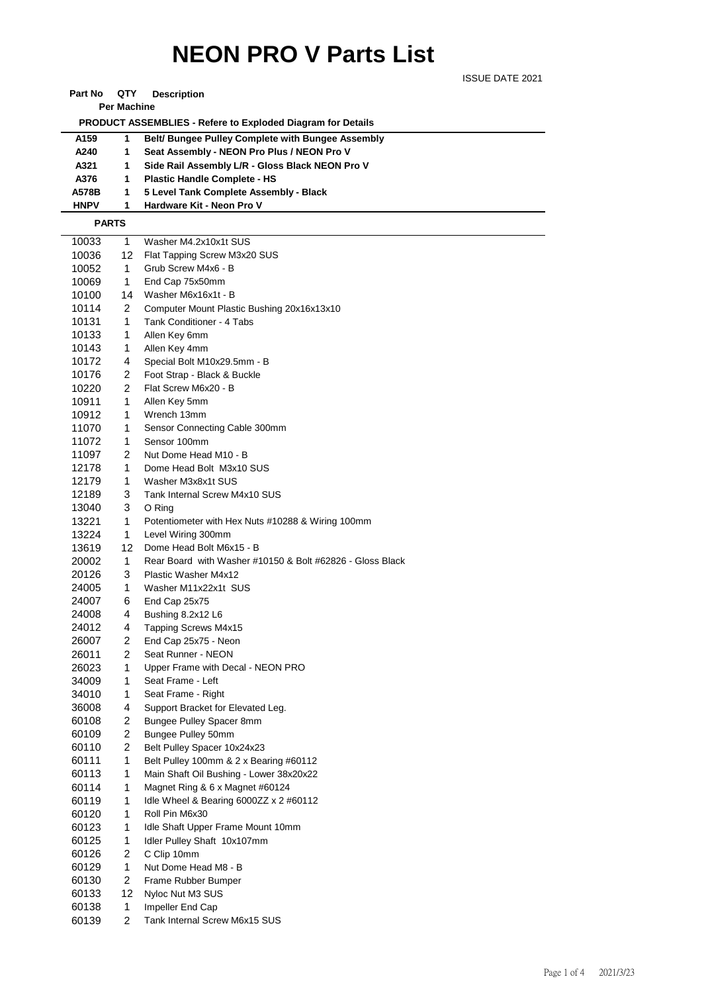## **NEON PRO V Parts List**

ISSUE DATE 2021

| QTY<br>Part No<br><b>Description</b> |  |
|--------------------------------------|--|
|--------------------------------------|--|

**Per Machine**

 **PRODUCT ASSEMBLIES - Refere to Exploded Diagram for Details** 

| A159        | Belt/ Bungee Pulley Complete with Bungee Assembly |
|-------------|---------------------------------------------------|
| A240        | Seat Assembly - NEON Pro Plus / NEON Pro V        |
| A321        | Side Rail Assembly L/R - Gloss Black NEON Pro V   |
| A376        | <b>Plastic Handle Complete - HS</b>               |
| A578B       | 5 Level Tank Complete Assembly - Black            |
| <b>HNPV</b> | Hardware Kit - Neon Pro V                         |

## **PARTS**

| 10033 | 1              | Washer M4.2x10x1t SUS                                     |
|-------|----------------|-----------------------------------------------------------|
| 10036 | 12             | Flat Tapping Screw M3x20 SUS                              |
| 10052 | 1              | Grub Screw M4x6 - B                                       |
| 10069 | 1              | End Cap 75x50mm                                           |
| 10100 | 14             | Washer M6x16x1t - B                                       |
| 10114 | 2              | Computer Mount Plastic Bushing 20x16x13x10                |
| 10131 | 1              | Tank Conditioner - 4 Tabs                                 |
| 10133 | 1              | Allen Key 6mm                                             |
| 10143 | 1              | Allen Key 4mm                                             |
| 10172 | 4              | Special Bolt M10x29.5mm - B                               |
| 10176 | 2              | Foot Strap - Black & Buckle                               |
| 10220 | 2              | Flat Screw M6x20 - B                                      |
| 10911 | 1              | Allen Key 5mm                                             |
| 10912 | 1              | Wrench 13mm                                               |
| 11070 | 1              | Sensor Connecting Cable 300mm                             |
| 11072 | 1              | Sensor 100mm                                              |
| 11097 | 2              | Nut Dome Head M10 - B                                     |
| 12178 | 1              | Dome Head Bolt M3x10 SUS                                  |
| 12179 | 1              | Washer M3x8x1t SUS                                        |
| 12189 | 3              | Tank Internal Screw M4x10 SUS                             |
| 13040 | 3              | O Ring                                                    |
| 13221 | 1              | Potentiometer with Hex Nuts #10288 & Wiring 100mm         |
| 13224 | 1              | Level Wiring 300mm                                        |
| 13619 | 12             | Dome Head Bolt M6x15 - B                                  |
| 20002 | 1              | Rear Board with Washer #10150 & Bolt #62826 - Gloss Black |
| 20126 | 3              | Plastic Washer M4x12                                      |
| 24005 | 1              | Washer M11x22x1t SUS                                      |
| 24007 | 6              | End Cap 25x75                                             |
| 24008 | 4              | Bushing 8.2x12 L6                                         |
| 24012 | 4              | Tapping Screws M4x15                                      |
| 26007 | 2              | End Cap 25x75 - Neon                                      |
| 26011 | 2              | Seat Runner - NEON                                        |
| 26023 | 1              | Upper Frame with Decal - NEON PRO                         |
| 34009 | 1              | Seat Frame - Left                                         |
| 34010 | 1              | Seat Frame - Right                                        |
| 36008 | 4              | Support Bracket for Elevated Leg.                         |
| 60108 | 2              | Bungee Pulley Spacer 8mm                                  |
| 60109 | $\overline{2}$ | Bungee Pulley 50mm                                        |
| 60110 | 2              | Belt Pulley Spacer 10x24x23                               |
| 60111 | $\mathbf{1}$   | Belt Pulley 100mm & 2 x Bearing #60112                    |
| 60113 | 1              | Main Shaft Oil Bushing - Lower 38x20x22                   |
| 60114 | 1              | Magnet Ring & 6 x Magnet #60124                           |
| 60119 | 1              | Idle Wheel & Bearing 6000ZZ x 2 #60112                    |
| 60120 | 1              | Roll Pin M6x30                                            |
| 60123 | 1              | Idle Shaft Upper Frame Mount 10mm                         |
| 60125 | 1              | Idler Pulley Shaft 10x107mm                               |
| 60126 | $\overline{c}$ | C Clip 10mm                                               |
| 60129 | 1              | Nut Dome Head M8 - B                                      |
| 60130 | 2              | Frame Rubber Bumper                                       |
| 60133 | 12             | Nyloc Nut M3 SUS                                          |
| 60138 | $\mathbf{1}$   | Impeller End Cap                                          |
| 60139 | 2              | Tank Internal Screw M6x15 SUS                             |
|       |                |                                                           |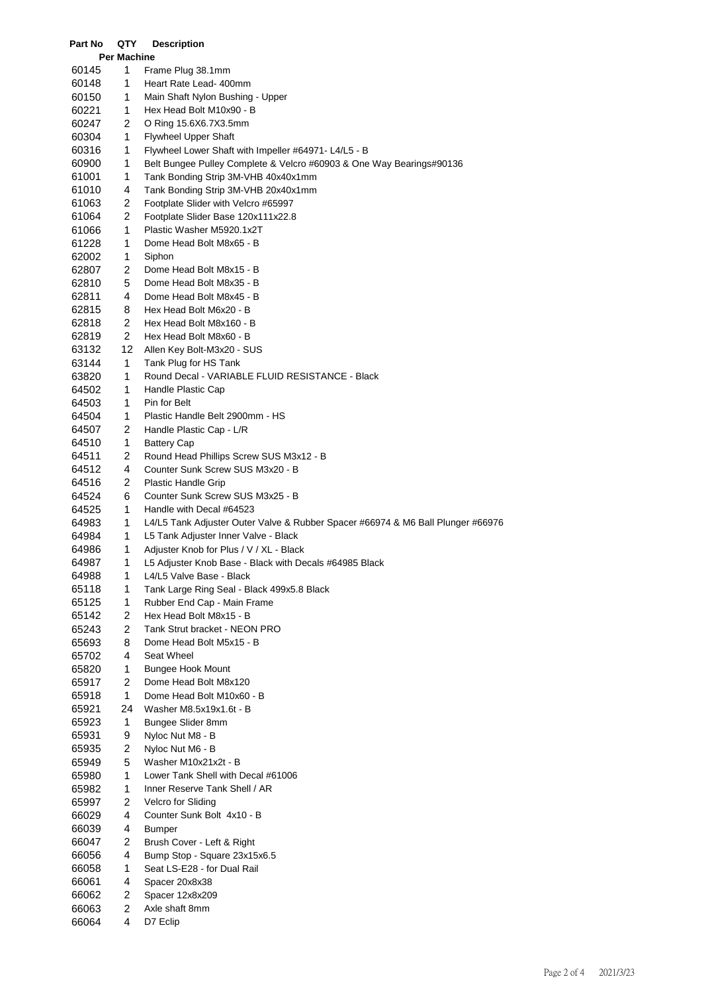| Part No        | QTY                | <b>Description</b>                                                                                                           |
|----------------|--------------------|------------------------------------------------------------------------------------------------------------------------------|
|                | <b>Per Machine</b> |                                                                                                                              |
| 60145          | 1                  | Frame Plug 38.1mm                                                                                                            |
| 60148          | 1                  | Heart Rate Lead- 400mm                                                                                                       |
| 60150          | 1                  | Main Shaft Nylon Bushing - Upper                                                                                             |
| 60221          | 1                  | Hex Head Bolt M10x90 - B                                                                                                     |
| 60247          | 2                  | O Ring 15.6X6.7X3.5mm                                                                                                        |
| 60304          | 1<br>1             | <b>Flywheel Upper Shaft</b>                                                                                                  |
| 60316<br>60900 | 1                  | Flywheel Lower Shaft with Impeller #64971- L4/L5 - B<br>Belt Bungee Pulley Complete & Velcro #60903 & One Way Bearings#90136 |
| 61001          | 1                  | Tank Bonding Strip 3M-VHB 40x40x1mm                                                                                          |
| 61010          | 4                  | Tank Bonding Strip 3M-VHB 20x40x1mm                                                                                          |
| 61063          | 2                  | Footplate Slider with Velcro #65997                                                                                          |
| 61064          | 2                  | Footplate Slider Base 120x111x22.8                                                                                           |
| 61066          | 1                  | Plastic Washer M5920.1x2T                                                                                                    |
| 61228          | 1                  | Dome Head Bolt M8x65 - B                                                                                                     |
| 62002          | 1                  | Siphon                                                                                                                       |
| 62807          | 2                  | Dome Head Bolt M8x15 - B                                                                                                     |
| 62810          | 5                  | Dome Head Bolt M8x35 - B                                                                                                     |
| 62811          | 4                  | Dome Head Bolt M8x45 - B                                                                                                     |
| 62815          | 8                  | Hex Head Bolt M6x20 - B                                                                                                      |
| 62818          | 2                  | Hex Head Bolt M8x160 - B                                                                                                     |
| 62819          | 2                  | Hex Head Bolt M8x60 - B                                                                                                      |
| 63132          | 12                 | Allen Key Bolt-M3x20 - SUS                                                                                                   |
| 63144          | 1                  | Tank Plug for HS Tank                                                                                                        |
| 63820          | 1                  | Round Decal - VARIABLE FLUID RESISTANCE - Black                                                                              |
| 64502          | 1                  | Handle Plastic Cap                                                                                                           |
| 64503          | 1                  | Pin for Belt                                                                                                                 |
| 64504          | 1                  | Plastic Handle Belt 2900mm - HS                                                                                              |
| 64507          | 2                  | Handle Plastic Cap - L/R                                                                                                     |
| 64510          | 1                  | Battery Cap                                                                                                                  |
| 64511          | 2                  | Round Head Phillips Screw SUS M3x12 - B                                                                                      |
| 64512          | 4                  | Counter Sunk Screw SUS M3x20 - B                                                                                             |
| 64516          | 2                  | Plastic Handle Grip                                                                                                          |
| 64524          | 6                  | Counter Sunk Screw SUS M3x25 - B                                                                                             |
| 64525          | 1                  | Handle with Decal #64523                                                                                                     |
| 64983          | 1                  | L4/L5 Tank Adjuster Outer Valve & Rubber Spacer #66974 & M6 Ball Plunger #66976                                              |
| 64984<br>64986 | 1<br>1             | L5 Tank Adjuster Inner Valve - Black<br>Adjuster Knob for Plus / V / XL - Black                                              |
| 64987          | 1                  | L5 Adjuster Knob Base - Black with Decals #64985 Black                                                                       |
| 64988          | 1                  | L4/L5 Valve Base - Black                                                                                                     |
| 65118          | 1                  | Tank Large Ring Seal - Black 499x5.8 Black                                                                                   |
| 65125          | 1                  | Rubber End Cap - Main Frame                                                                                                  |
| 65142          | 2                  | Hex Head Bolt M8x15 - B                                                                                                      |
| 65243          | 2                  | Tank Strut bracket - NEON PRO                                                                                                |
| 65693          | 8                  | Dome Head Bolt M5x15 - B                                                                                                     |
| 65702          | 4                  | Seat Wheel                                                                                                                   |
| 65820          | 1                  | <b>Bungee Hook Mount</b>                                                                                                     |
| 65917          | 2                  | Dome Head Bolt M8x120                                                                                                        |
| 65918          | 1                  | Dome Head Bolt M10x60 - B                                                                                                    |
| 65921          | 24                 | Washer M8.5x19x1.6t - B                                                                                                      |
| 65923          | 1                  | Bungee Slider 8mm                                                                                                            |
| 65931          | 9                  | Nyloc Nut M8 - B                                                                                                             |
| 65935          | 2                  | Nyloc Nut M6 - B                                                                                                             |
| 65949          | 5                  | Washer M10x21x2t - B                                                                                                         |
| 65980          | 1                  | Lower Tank Shell with Decal #61006                                                                                           |
| 65982          | 1                  | Inner Reserve Tank Shell / AR                                                                                                |
| 65997          | 2                  | Velcro for Sliding                                                                                                           |
| 66029          | 4                  | Counter Sunk Bolt 4x10 - B                                                                                                   |
| 66039          | 4                  | <b>Bumper</b>                                                                                                                |
| 66047          | 2<br>4             | Brush Cover - Left & Right                                                                                                   |
| 66056<br>66058 | 1                  | Bump Stop - Square 23x15x6.5<br>Seat LS-E28 - for Dual Rail                                                                  |
| 66061          | 4                  | Spacer 20x8x38                                                                                                               |
| 66062          | 2                  | Spacer 12x8x209                                                                                                              |
| 66063          | $\overline{c}$     | Axle shaft 8mm                                                                                                               |
| 66064          | 4                  | D7 Eclip                                                                                                                     |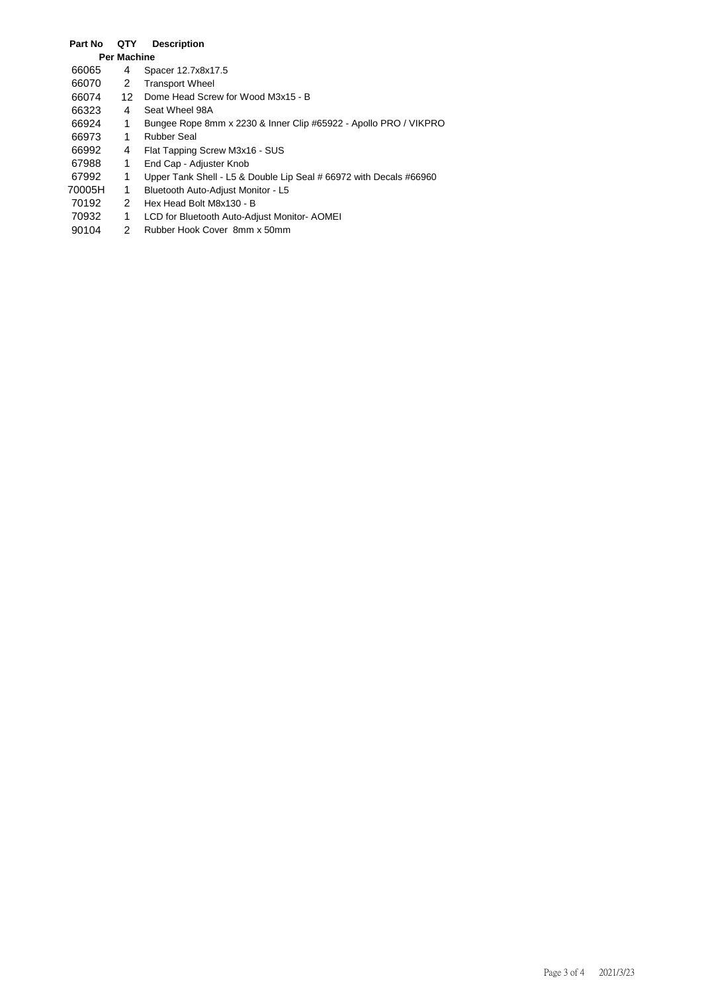## **Part No QTY Description Per Machine** 66065 4 Spacer 12.7x8x17.5<br>66070 2 Transport Wheel 2 Transport Wheel 66074 12 Dome Head Screw for Wood M3x15 - B 66323 4 Seat Wheel 98A 66924 1 Bungee Rope 8mm x 2230 & Inner Clip #65922 - Apollo PRO / VIKPRO 66973 1 Rubber Seal 66992 4 Flat Tapping Screw M3x16 - SUS<br>67988 1 End Cap - Adjuster Knob 1 End Cap - Adjuster Knob 67992 1 Upper Tank Shell - L5 & Double Lip Seal # 66972 with Decals #66960 70005H 1 Bluetooth Auto-Adjust Monitor - L5 70192 2 Hex Head Bolt M8x130 - B 70932 1 LCD for Bluetooth Auto-Adjust Monitor-AOMEI<br>90104 2 Rubber Hook Cover 8mm x 50mm

2 Rubber Hook Cover 8mm x 50mm